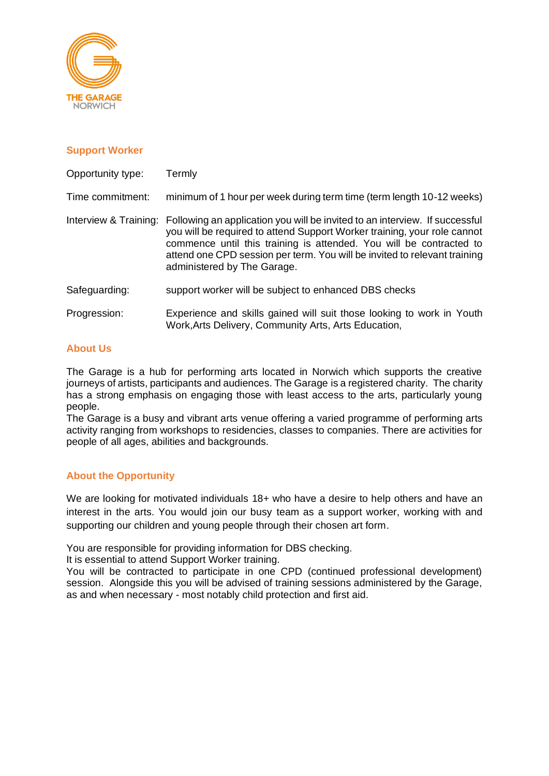

## **Support Worker**

| Opportunity type: | Termly                                                                                                                                                                                                                                                                                                                                                           |
|-------------------|------------------------------------------------------------------------------------------------------------------------------------------------------------------------------------------------------------------------------------------------------------------------------------------------------------------------------------------------------------------|
| Time commitment:  | minimum of 1 hour per week during term time (term length 10-12 weeks)                                                                                                                                                                                                                                                                                            |
|                   | Interview & Training: Following an application you will be invited to an interview. If successful<br>you will be required to attend Support Worker training, your role cannot<br>commence until this training is attended. You will be contracted to<br>attend one CPD session per term. You will be invited to relevant training<br>administered by The Garage. |
| Safeguarding:     | support worker will be subject to enhanced DBS checks                                                                                                                                                                                                                                                                                                            |
| Progression:      | Experience and skills gained will suit those looking to work in Youth<br>Work, Arts Delivery, Community Arts, Arts Education,                                                                                                                                                                                                                                    |

# **About Us**

The Garage is a hub for performing arts located in Norwich which supports the creative journeys of artists, participants and audiences. The Garage is a registered charity. The charity has a strong emphasis on engaging those with least access to the arts, particularly young people.

The Garage is a busy and vibrant arts venue offering a varied programme of performing arts activity ranging from workshops to residencies, classes to companies. There are activities for people of all ages, abilities and backgrounds.

# **About the Opportunity**

We are looking for motivated individuals 18+ who have a desire to help others and have an interest in the arts. You would join our busy team as a support worker, working with and supporting our children and young people through their chosen art form.

You are responsible for providing information for DBS checking.

It is essential to attend Support Worker training.

You will be contracted to participate in one CPD (continued professional development) session. Alongside this you will be advised of training sessions administered by the Garage, as and when necessary - most notably child protection and first aid.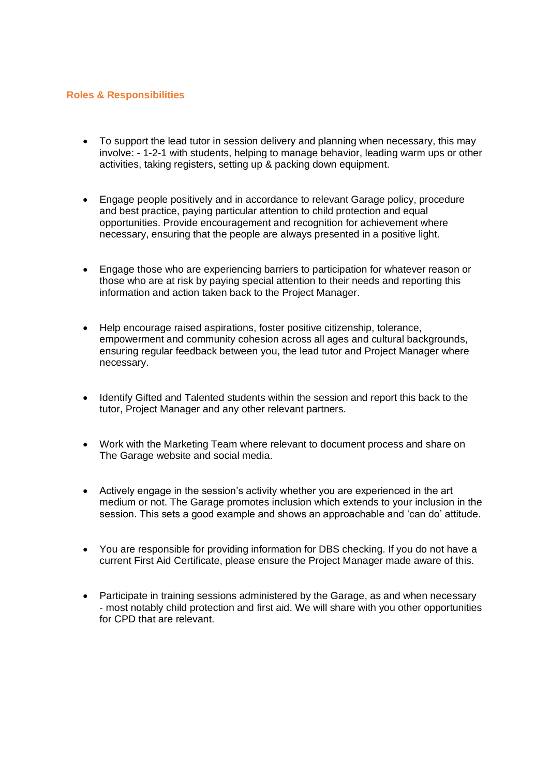#### **Roles & Responsibilities**

- To support the lead tutor in session delivery and planning when necessary, this may involve: - 1-2-1 with students, helping to manage behavior, leading warm ups or other activities, taking registers, setting up & packing down equipment.
- Engage people positively and in accordance to relevant Garage policy, procedure and best practice, paying particular attention to child protection and equal opportunities. Provide encouragement and recognition for achievement where necessary, ensuring that the people are always presented in a positive light.
- Engage those who are experiencing barriers to participation for whatever reason or those who are at risk by paying special attention to their needs and reporting this information and action taken back to the Project Manager.
- Help encourage raised aspirations, foster positive citizenship, tolerance, empowerment and community cohesion across all ages and cultural backgrounds, ensuring regular feedback between you, the lead tutor and Project Manager where necessary.
- Identify Gifted and Talented students within the session and report this back to the tutor, Project Manager and any other relevant partners.
- Work with the Marketing Team where relevant to document process and share on The Garage website and social media.
- Actively engage in the session's activity whether you are experienced in the art medium or not. The Garage promotes inclusion which extends to your inclusion in the session. This sets a good example and shows an approachable and 'can do' attitude.
- You are responsible for providing information for DBS checking. If you do not have a current First Aid Certificate, please ensure the Project Manager made aware of this.
- Participate in training sessions administered by the Garage, as and when necessary - most notably child protection and first aid. We will share with you other opportunities for CPD that are relevant.